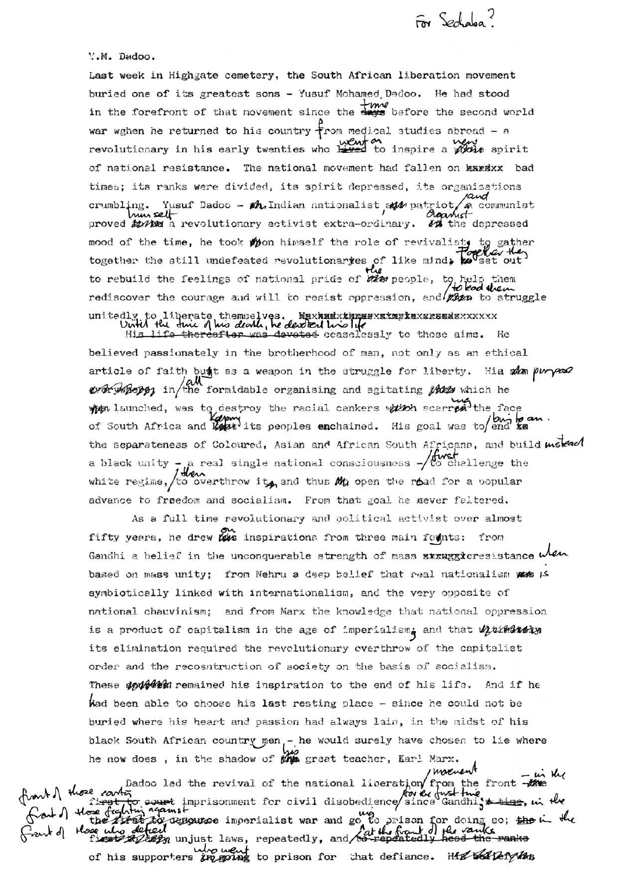For Sechaba<sup>?</sup>

## Y.M. Dadoo.

Last week in Highgate cemetery, the South African liberation movement buried one of its greatest sons - Yusuf Mohamed Dadoo. He had stood in the forefront of that movement since the days before the second world war wghen he returned to his country from medical studies abroad - a revolutionary in his early twenties who have no inspire a photo spirit of national resistance. The national movement had fallen on kardxx bad times; its ranks were divided, its spirit depressed, its organisations crumbling. Yusuf Dadoo -  $M$ Indian nationalist  $M$  patriot a communist nun selt proved turks a revolutionary activist extra-ordinary. To the depressed mood of the time, he took moon himself the role of revivalists to gather together the still undefeated revolutionaries of like mind. Toute out to rebuild the feelings of national pride of the people, to help rediscover the courage and will to resist oppression, and then to struggle unitedly to liberate themselves. Maxhadxthesexximplexxessedexxxxxx<br>Until the thic of his death, he dested his life these aims. He<br>His life thereafter was devoted ceaselessly to those aims. He

believed passionately in the brotherhood of man, not only as an ethical article of faith but as a weapon in the struggle for liberty. His sam purpose every merges in the formidable organising and agitating these which he when launched, was to destroy the racial cankers which scarred the face of South Africa and Lautits peoples enchained. His goal was to end xa. the separateness of Coloured, Asian and African South Africans, and build molear a black unity - a real single national consciousness  $-\sqrt{t}$  challenge the white regime, to overthrow its, and thus  $M_0$  open the road for a popular advance to freedom and socialism. From that goal he mever faltered.

As a full time revolutionary and political activist over almost fifty years, he drew this inspirations from three main founts: from Gandhi a belief in the unconquerable strength of mass xxxxxxxeresistance when based on mass unity; from Nehru a deep belief that real nationalism wes IS symbiotically linked with internationalism, and the very opposite of national chauvinism; and from Marx the knowledge that national oppression is a product of capitalism in the age of imperialism<sub>i</sub> and that with the its elimination required the revolutionary overthrow of the capitalist order and the recosntruction of society on the basis of socialism. These spulles remained his inspiration to the end of his life. And if he Wad been able to choose his last resting place - since he could not be buried where his heart and passion had always lain, in the midst of his black South African country men,- he would surely have chosen to lie where he now does, in the shadow of the great teacher, Karl Marx.

how here continues and the revival of the national liberation from the front the movement in the these content imprisonment for civil disobedience since Gandhigs time, in the<br>the fighting against the region of the second the second the second the second the time of the time of the time<br>these who defined<br>fighting unjus of his supporters in going to prison for that defiance. He beliefy the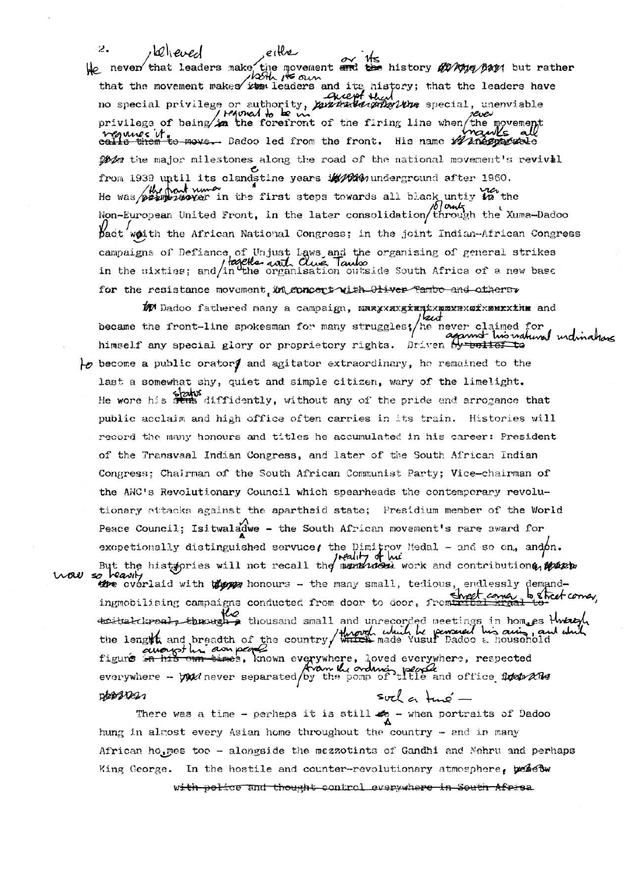Ż.  $\omega$   $\rho$ He never that leaders make the movement and the history and pays but rather that the movement makes its leaders and its history; that the leaders have<br>no special privilege or authority, purchalgonizations special, unenviable<br>privilege of being in the forefront of the firing line when the movement<br> point the major milestones along the road of the national movement's revival from 1939 until its clandstine years it made noierground after 1960. was provided the first steps towards all black untiy to the Non-European United Front, in the later consolidation/through the Xuma-Dadoo pact woith the African National Congress; in the joint Indian-African Congress campaigns of Defiance of Unjust Laws and the organising of general strikes<br>in the sixties; and/in the organisation outside South Africa of a new base for the resistance movement, in concert with Oliver Tambo and others.

لمديها became the front-line spokesman for many struggles; he never claimed for this watured individual himself any special glory or proprietory rights. Driven by build to

 $\downarrow$  become a public orators and agitator extraordinary, he remained to the last a somewhat shy, quiet and simple citizen, wary of the limelight. He wore his status diffidently, without any of the pride and arrogance that public acclaim and high office often carries in its train. Histories will record the many honours and titles he accumulated in his career: President of the Transvaal Indian Congress, and later of the South African Indian Congress: Chairman of the South African Communist Party; Vice-chairman of the ANC's Revolutionary Council which spearheads the contemporary revolutionary attacks against the apartheid state; Presidium member of the World Peace Council; Isitwaladwe - the South African movement's rare award for excpetionally distinguished servuce, the Dimitrov Medal - and so on, and on.<br>But the histogries will not recall the moneticides work and contributione, where wall the overlaid with the honours - the many small, tedious, endlessly demandingmobilising campaigns conducted from door to door, from the came to the come,

tratal closed, through a thousand small and unrecorded meetings in homes through<br>the length and breadth of the country through which be persuaded in air , and which pot his own people figure in his own times, known everywhere, loved everywhere, respected<br>everywhere - but never separated by the pomp of title and office these and

person

There was a time - perhaps it is still  $\clubsuit$  - when portraits of Dadoo hung in almost every Asian home throughout the country - and in many African ho, mes too - alongside the mezzotints of Gandhi and Nehru and perhaps King George. In the hostile and counter-revolutionary atmosphere, yesetw

with police and thought control everywhere in South Afrisa

 $svel$  a tup  $-$